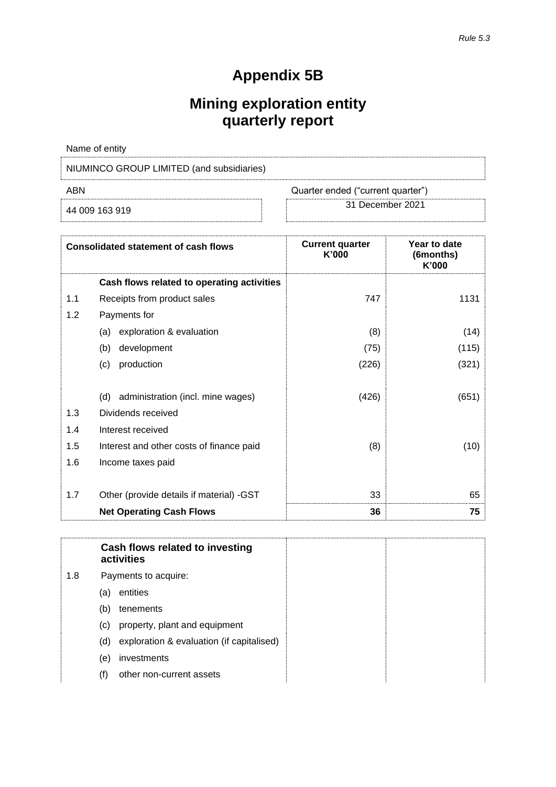# **Appendix 5B**

# **Mining exploration entity quarterly report**

| Name of entity                            |                                   |  |  |
|-------------------------------------------|-----------------------------------|--|--|
| NIUMINCO GROUP LIMITED (and subsidiaries) |                                   |  |  |
| ABN                                       | Quarter ended ("current quarter") |  |  |
| 44 009 163 919                            | 31 December 2021                  |  |  |

| 44 009 163 919 |  |  |
|----------------|--|--|
|                |  |  |

| <b>Current quarter</b><br>K'000 | Year to date<br>(6months)<br>K'000                                                 |
|---------------------------------|------------------------------------------------------------------------------------|
|                                 |                                                                                    |
| 747                             |                                                                                    |
|                                 |                                                                                    |
| ΄8                              |                                                                                    |
|                                 | Consolidated statement of cash flows<br>Cash flows related to operating activities |

| 1.1                       | Receipts from product sales              | 747   | 1131  |
|---------------------------|------------------------------------------|-------|-------|
| 1.2<br>Payments for       |                                          |       |       |
|                           | (a) exploration & evaluation             | (8)   | (14)  |
| (b)                       | development                              | (75)  | (115) |
| production<br>(c)         |                                          | (226) | (321) |
|                           |                                          |       |       |
|                           | (d) administration (incl. mine wages)    | (426) | (651) |
| 1.3<br>Dividends received |                                          |       |       |
| 1.4<br>Interest received  |                                          |       |       |
| 1.5                       | Interest and other costs of finance paid | (8)   | (10)  |
| 1.6<br>Income taxes paid  |                                          |       |       |
|                           |                                          |       |       |
| 1.7                       | Other (provide details if material) -GST | 33    | 65    |
|                           | <b>Net Operating Cash Flows</b>          | 36    | 75    |

**Cash flows related to investing activities** 1.8 Payments to acquire: (a) entities (b) tenements (c) property, plant and equipment (d) exploration & evaluation (if capitalised) (e) investments (f) other non-current assets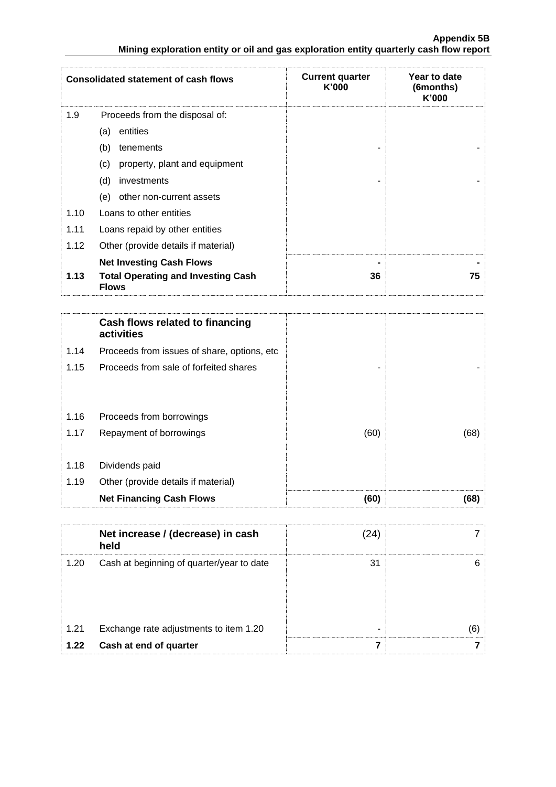|      | <b>Consolidated statement of cash flows</b>                                                  | <b>Current quarter</b><br>K'000 | Year to date<br>(6months)<br>K'000 |
|------|----------------------------------------------------------------------------------------------|---------------------------------|------------------------------------|
| 1.9  | Proceeds from the disposal of:                                                               |                                 |                                    |
|      | entities<br>(a)                                                                              |                                 |                                    |
|      | (b)<br>tenements                                                                             |                                 |                                    |
|      | property, plant and equipment<br>(c)                                                         |                                 |                                    |
|      | (d)<br>investments                                                                           |                                 |                                    |
|      | (e)<br>other non-current assets                                                              |                                 |                                    |
| 1.10 | Loans to other entities                                                                      |                                 |                                    |
| 1.11 | Loans repaid by other entities                                                               |                                 |                                    |
| 1.12 | Other (provide details if material)                                                          |                                 |                                    |
| 1.13 | <b>Net Investing Cash Flows</b><br><b>Total Operating and Investing Cash</b><br><b>Flows</b> | 36                              | 75                                 |

|      | Cash flows related to financing<br>activities |      |      |
|------|-----------------------------------------------|------|------|
| 1.14 | Proceeds from issues of share, options, etc.  |      |      |
| 1.15 | Proceeds from sale of forfeited shares        | -    |      |
|      |                                               |      |      |
| 1.16 | Proceeds from borrowings                      |      |      |
| 1.17 | Repayment of borrowings                       | (60) | (68) |
|      |                                               |      |      |
| 1.18 | Dividends paid                                |      |      |
| 1.19 | Other (provide details if material)           |      |      |
|      | <b>Net Financing Cash Flows</b>               | (60) | (68) |

|      | Net increase / (decrease) in cash<br>held | '24. |    |
|------|-------------------------------------------|------|----|
| 1.20 | Cash at beginning of quarter/year to date | 31   | ิค |
| 1.21 | Exchange rate adjustments to item 1.20    | -    |    |
| 1.22 | Cash at end of quarter                    |      |    |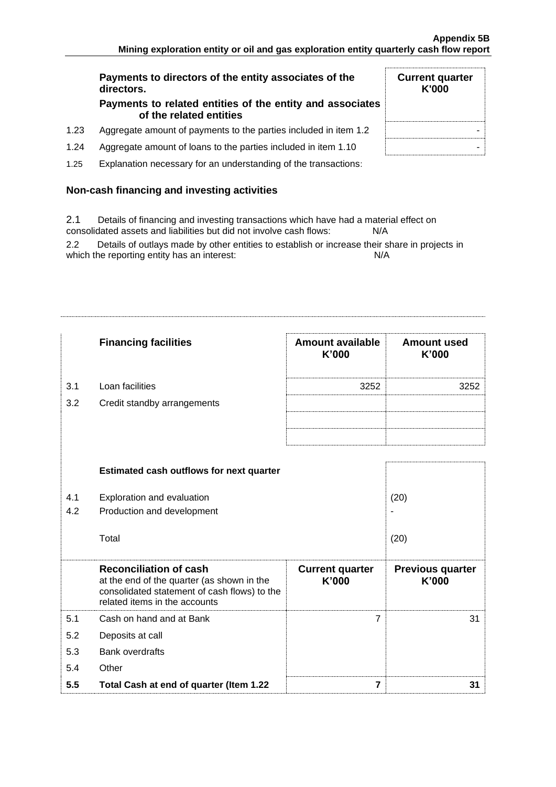**Current quarter K'000**

# **Payments to directors of the entity associates of the directors.**

### **Payments to related entities of the entity and associates of the related entities**

- 1.23 Aggregate amount of payments to the parties included in item 1.2  $\parallel$
- 1.24 Aggregate amount of loans to the parties included in item 1.10  $\blacksquare$
- 1.25 Explanation necessary for an understanding of the transactions:

# **Non-cash financing and investing activities**

2.1 Details of financing and investing transactions which have had a material effect on consolidated assets and liabilities but did not involve cash flows: N/A

2.2 Details of outlays made by other entities to establish or increase their share in projects in which the reporting entity has an interest: N/A

|     | <b>Financing facilities</b>                                                                                                                                  | <b>Amount available</b><br>K'000 | <b>Amount used</b><br>K'000      |
|-----|--------------------------------------------------------------------------------------------------------------------------------------------------------------|----------------------------------|----------------------------------|
| 3.1 | Loan facilities                                                                                                                                              | 3252                             | 3252                             |
| 3.2 | Credit standby arrangements                                                                                                                                  |                                  |                                  |
|     |                                                                                                                                                              |                                  |                                  |
|     |                                                                                                                                                              |                                  |                                  |
|     | <b>Estimated cash outflows for next quarter</b>                                                                                                              |                                  |                                  |
| 4.1 | Exploration and evaluation                                                                                                                                   |                                  | (20)                             |
| 4.2 | Production and development                                                                                                                                   |                                  |                                  |
|     | Total                                                                                                                                                        |                                  | (20)                             |
|     | <b>Reconciliation of cash</b><br>at the end of the quarter (as shown in the<br>consolidated statement of cash flows) to the<br>related items in the accounts | <b>Current quarter</b><br>K'000  | <b>Previous quarter</b><br>K'000 |
| 5.1 | Cash on hand and at Bank                                                                                                                                     | $\overline{7}$                   | 31                               |
| 5.2 | Deposits at call                                                                                                                                             |                                  |                                  |
| 5.3 | <b>Bank overdrafts</b>                                                                                                                                       |                                  |                                  |
| 5.4 | Other                                                                                                                                                        |                                  |                                  |
| 5.5 | Total Cash at end of quarter (Item 1.22                                                                                                                      | $\overline{\mathbf{z}}$          | 31                               |